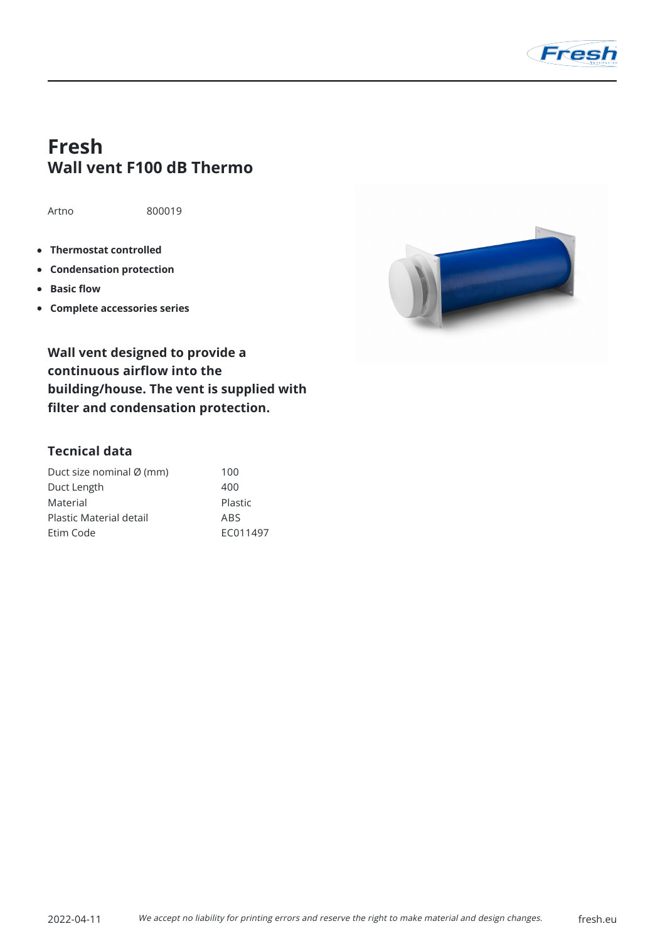

# **Fresh Wall vent F100 dB Thermo**

Artno 800019

- **Thermostat controlled**
- **Condensation protection**
- **Basic flow**  $\bullet$
- **Complete accessories series**



**Wall vent designed to provide a continuous airflow into the building/house. The vent is supplied with filter and condensation protection.**

## **Tecnical data**

| Duct size nominal Ø (mm) | 100      |
|--------------------------|----------|
| Duct Length              | 400      |
| Material                 | Plastic  |
| Plastic Material detail  | ABS      |
| Etim Code                | FC011497 |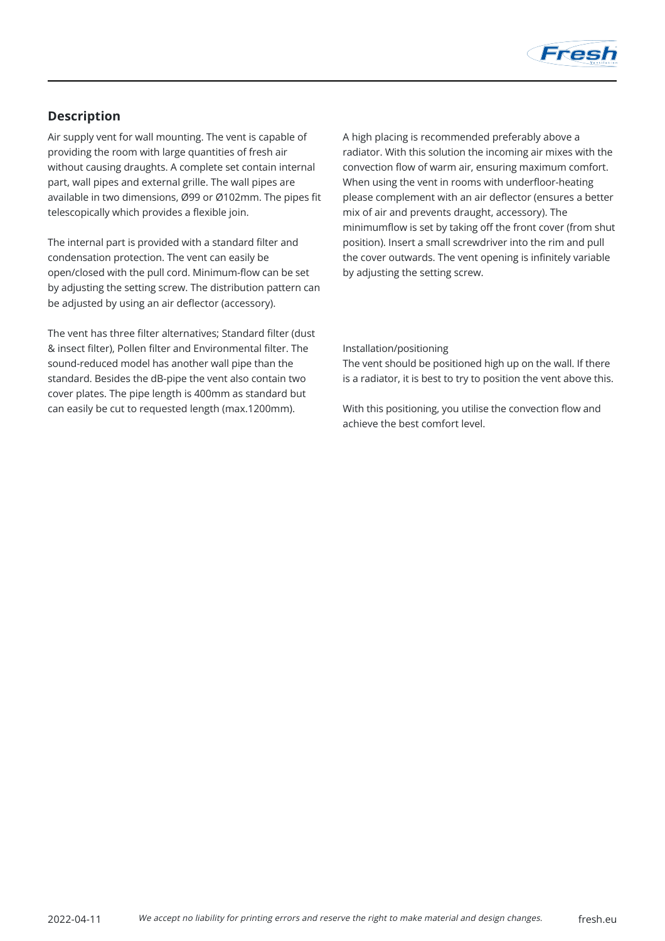

## **Description**

Air supply vent for wall mounting. The vent is capable of providing the room with large quantities of fresh air without causing draughts. A complete set contain internal part, wall pipes and external grille. The wall pipes are available in two dimensions, Ø99 or Ø102mm. The pipes fit telescopically which provides a flexible join.

The internal part is provided with a standard filter and condensation protection. The vent can easily be open/closed with the pull cord. Minimum-flow can be set by adjusting the setting screw. The distribution pattern can be adjusted by using an air deflector (accessory).

The vent has three filter alternatives; Standard filter (dust & insect filter), Pollen filter and Environmental filter. The sound-reduced model has another wall pipe than the standard. Besides the dB-pipe the vent also contain two cover plates. The pipe length is 400mm as standard but can easily be cut to requested length (max.1200mm).

A high placing is recommended preferably above a radiator. With this solution the incoming air mixes with the convection flow of warm air, ensuring maximum comfort. When using the vent in rooms with underfloor-heating please complement with an air deflector (ensures a better mix of air and prevents draught, accessory). The minimumflow is set by taking off the front cover (from shut position). Insert a small screwdriver into the rim and pull the cover outwards. The vent opening is infinitely variable by adjusting the setting screw.

#### Installation/positioning

The vent should be positioned high up on the wall. If there is a radiator, it is best to try to position the vent above this.

With this positioning, you utilise the convection flow and achieve the best comfort level.